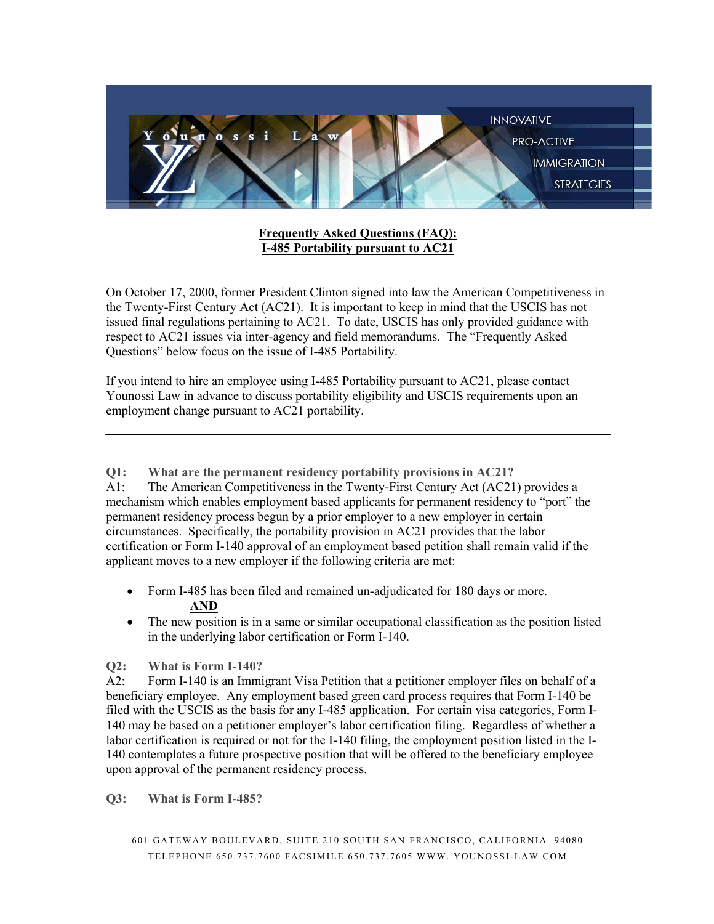

**Frequently Asked Questions (FAQ): I-485 Portability pursuant to AC21**

On October 17, 2000, former President Clinton signed into law the American Competitiveness in the Twenty-First Century Act (AC21). It is important to keep in mind that the USCIS has not issued final regulations pertaining to AC21. To date, USCIS has only provided guidance with respect to AC21 issues via inter-agency and field memorandums. The "Frequently Asked Questions" below focus on the issue of I-485 Portability.

If you intend to hire an employee using I-485 Portability pursuant to AC21, please contact Younossi Law in advance to discuss portability eligibility and USCIS requirements upon an employment change pursuant to AC21 portability.

**Q1: What are the permanent residency portability provisions in AC21?**

A1: The American Competitiveness in the Twenty-First Century Act (AC21) provides a mechanism which enables employment based applicants for permanent residency to "port" the permanent residency process begun by a prior employer to a new employer in certain circumstances. Specifically, the portability provision in AC21 provides that the labor certification or Form I-140 approval of an employment based petition shall remain valid if the applicant moves to a new employer if the following criteria are met:

- Form I-485 has been filed and remained un-adjudicated for 180 days or more. **AND**
- The new position is in a same or similar occupational classification as the position listed in the underlying labor certification or Form I-140.

## **Q2: What is Form I-140?**

A2: Form I-140 is an Immigrant Visa Petition that a petitioner employer files on behalf of a beneficiary employee. Any employment based green card process requires that Form I-140 be filed with the USCIS as the basis for any I-485 application. For certain visa categories, Form I-140 may be based on a petitioner employer's labor certification filing. Regardless of whether a labor certification is required or not for the I-140 filing, the employment position listed in the I-140 contemplates a future prospective position that will be offered to the beneficiary employee upon approval of the permanent residency process.

**Q3: What is Form I-485?**

<sup>601</sup> GATEWAY BOULEVARD, SUITE 210 SOUTH SAN FRANCISCO, CALIFORNIA 94080 TELEPHONE 650.737.7 600 FACSIMILE 650.737.7605 WWW. YOUNOSSI-LAW.COM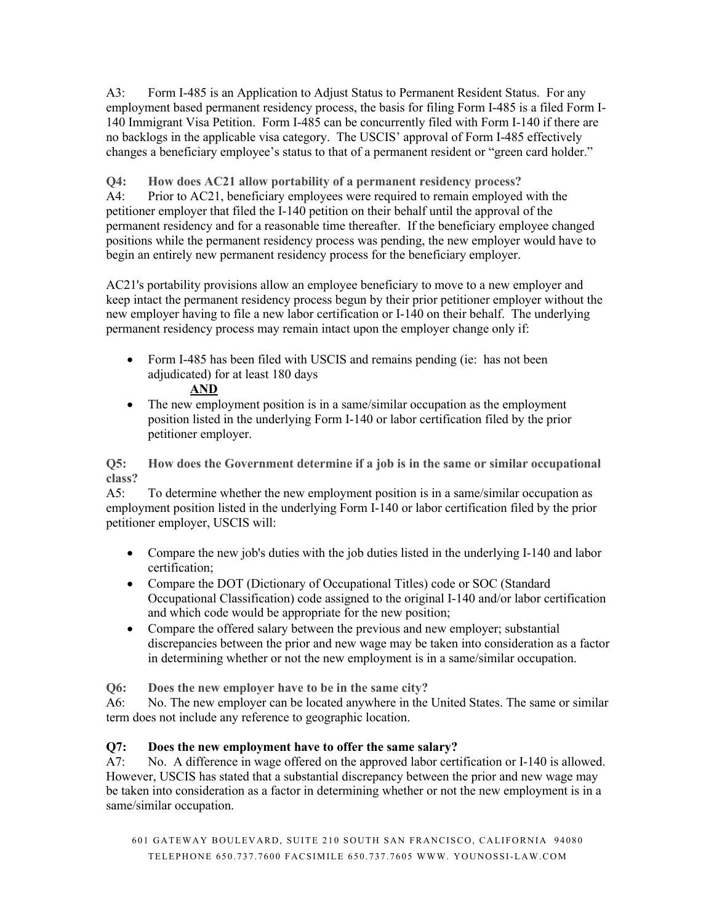A3: Form I-485 is an Application to Adjust Status to Permanent Resident Status. For any employment based permanent residency process, the basis for filing Form I-485 is a filed Form I-140 Immigrant Visa Petition. Form I-485 can be concurrently filed with Form I-140 if there are no backlogs in the applicable visa category. The USCIS' approval of Form I-485 effectively changes a beneficiary employee's status to that of a permanent resident or "green card holder."

**Q4: How does AC21 allow portability of a permanent residency process?** A4: Prior to AC21, beneficiary employees were required to remain employed with the petitioner employer that filed the I-140 petition on their behalf until the approval of the permanent residency and for a reasonable time thereafter. If the beneficiary employee changed positions while the permanent residency process was pending, the new employer would have to begin an entirely new permanent residency process for the beneficiary employer.

AC21's portability provisions allow an employee beneficiary to move to a new employer and keep intact the permanent residency process begun by their prior petitioner employer without the new employer having to file a new labor certification or I-140 on their behalf. The underlying permanent residency process may remain intact upon the employer change only if:

• Form I-485 has been filed with USCIS and remains pending (ie: has not been adjudicated) for at least 180 days

## **AND**

• The new employment position is in a same/similar occupation as the employment position listed in the underlying Form I-140 or labor certification filed by the prior petitioner employer.

**Q5: How does the Government determine if a job is in the same or similar occupational class?**

A5: To determine whether the new employment position is in a same/similar occupation as employment position listed in the underlying Form I-140 or labor certification filed by the prior petitioner employer, USCIS will:

- Compare the new job's duties with the job duties listed in the underlying I-140 and labor certification;
- Compare the DOT (Dictionary of Occupational Titles) code or SOC (Standard Occupational Classification) code assigned to the original I-140 and/or labor certification and which code would be appropriate for the new position;
- Compare the offered salary between the previous and new employer; substantial discrepancies between the prior and new wage may be taken into consideration as a factor in determining whether or not the new employment is in a same/similar occupation.

**Q6: Does the new employer have to be in the same city?**

A6: No. The new employer can be located anywhere in the United States. The same or similar term does not include any reference to geographic location.

## **Q7: Does the new employment have to offer the same salary?**

A7: No. A difference in wage offered on the approved labor certification or I-140 is allowed. However, USCIS has stated that a substantial discrepancy between the prior and new wage may be taken into consideration as a factor in determining whether or not the new employment is in a same/similar occupation.